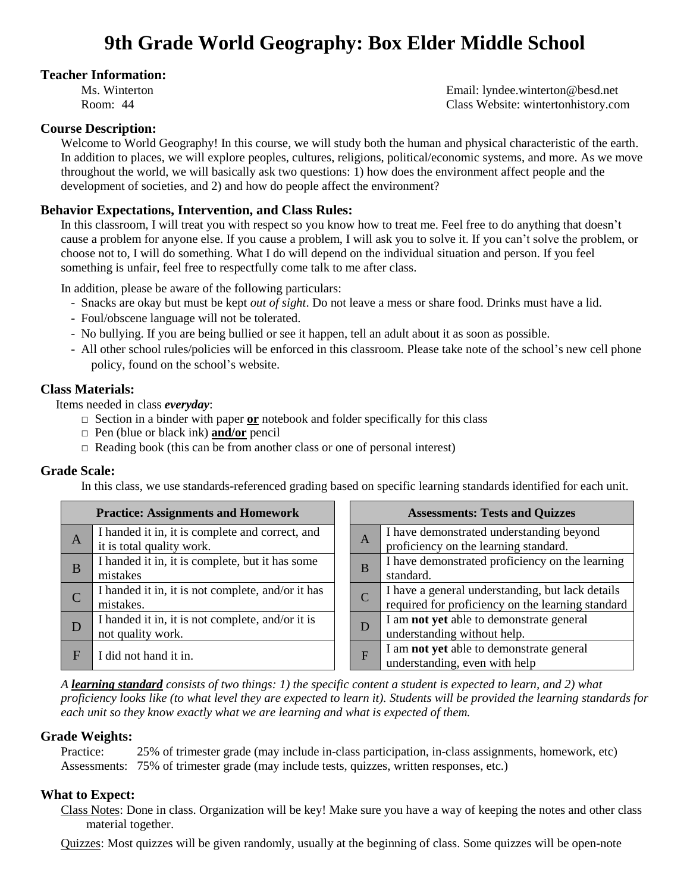# **Teacher Information:**

Ms. Winterton Email: lyndee.winterton@besd.net Room: 44 Class Website: wintertonhistory.com

## **Course Description:**

Welcome to World Geography! In this course, we will study both the human and physical characteristic of the earth. In addition to places, we will explore peoples, cultures, religions, political/economic systems, and more. As we move throughout the world, we will basically ask two questions: 1) how does the environment affect people and the development of societies, and 2) and how do people affect the environment?

# **Behavior Expectations, Intervention, and Class Rules:**

In this classroom, I will treat you with respect so you know how to treat me. Feel free to do anything that doesn't cause a problem for anyone else. If you cause a problem, I will ask you to solve it. If you can't solve the problem, or choose not to, I will do something. What I do will depend on the individual situation and person. If you feel something is unfair, feel free to respectfully come talk to me after class.

In addition, please be aware of the following particulars:

- Snacks are okay but must be kept *out of sight*. Do not leave a mess or share food. Drinks must have a lid.
- Foul/obscene language will not be tolerated.
- No bullying. If you are being bullied or see it happen, tell an adult about it as soon as possible.
- All other school rules/policies will be enforced in this classroom. Please take note of the school's new cell phone policy, found on the school's website.

## **Class Materials:**

Items needed in class *everyday*:

- $\Box$  Section in a binder with paper **or** notebook and folder specifically for this class
- □ Pen (blue or black ink) **and/or** pencil
- $\Box$  Reading book (this can be from another class or one of personal interest)

### **Grade Scale:**

In this class, we use standards-referenced grading based on specific learning standards identified for each unit.

| <b>Practice: Assignments and Homework</b> |                                                                              |              | <b>Assessments: Tests and Quizzes</b>                                                                 |  |  |
|-------------------------------------------|------------------------------------------------------------------------------|--------------|-------------------------------------------------------------------------------------------------------|--|--|
| A                                         | I handed it in, it is complete and correct, and<br>it is total quality work. | $\mathbf{A}$ | I have demonstrated understanding beyond<br>proficiency on the learning standard.                     |  |  |
| B                                         | I handed it in, it is complete, but it has some<br>mistakes                  | B            | I have demonstrated proficiency on the learning<br>standard.                                          |  |  |
| C                                         | I handed it in, it is not complete, and/or it has<br>mistakes.               |              | I have a general understanding, but lack details<br>required for proficiency on the learning standard |  |  |
|                                           | I handed it in, it is not complete, and/or it is<br>not quality work.        | D            | I am not yet able to demonstrate general<br>understanding without help.                               |  |  |
| F                                         | I did not hand it in.                                                        | F            | I am not yet able to demonstrate general<br>understanding, even with help                             |  |  |

*A learning standard consists of two things: 1) the specific content a student is expected to learn, and 2) what proficiency looks like (to what level they are expected to learn it). Students will be provided the learning standards for each unit so they know exactly what we are learning and what is expected of them.*

### **Grade Weights:**

Practice: 25% of trimester grade (may include in-class participation, in-class assignments, homework, etc) Assessments: 75% of trimester grade (may include tests, quizzes, written responses, etc.)

# **What to Expect:**

Class Notes: Done in class. Organization will be key! Make sure you have a way of keeping the notes and other class material together.

Quizzes: Most quizzes will be given randomly, usually at the beginning of class. Some quizzes will be open-note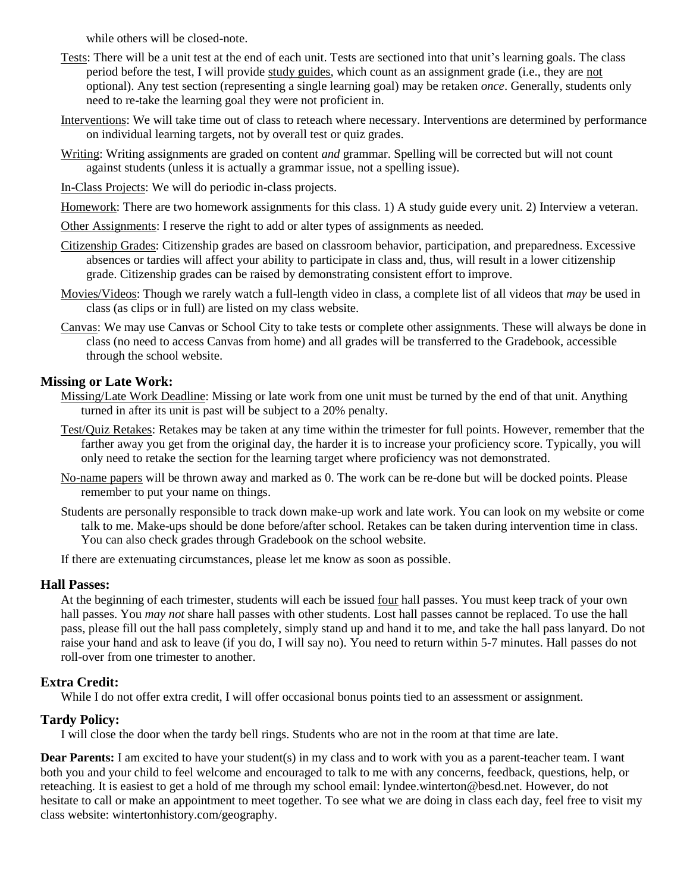while others will be closed-note.

- Tests: There will be a unit test at the end of each unit. Tests are sectioned into that unit's learning goals. The class period before the test, I will provide study guides, which count as an assignment grade (i.e., they are not optional). Any test section (representing a single learning goal) may be retaken *once*. Generally, students only need to re-take the learning goal they were not proficient in.
- Interventions: We will take time out of class to reteach where necessary. Interventions are determined by performance on individual learning targets, not by overall test or quiz grades.
- Writing: Writing assignments are graded on content *and* grammar. Spelling will be corrected but will not count against students (unless it is actually a grammar issue, not a spelling issue).
- In-Class Projects: We will do periodic in-class projects.
- Homework: There are two homework assignments for this class. 1) A study guide every unit. 2) Interview a veteran.
- Other Assignments: I reserve the right to add or alter types of assignments as needed.
- Citizenship Grades: Citizenship grades are based on classroom behavior, participation, and preparedness. Excessive absences or tardies will affect your ability to participate in class and, thus, will result in a lower citizenship grade. Citizenship grades can be raised by demonstrating consistent effort to improve.
- Movies/Videos: Though we rarely watch a full-length video in class, a complete list of all videos that *may* be used in class (as clips or in full) are listed on my class website.
- Canvas: We may use Canvas or School City to take tests or complete other assignments. These will always be done in class (no need to access Canvas from home) and all grades will be transferred to the Gradebook, accessible through the school website.

## **Missing or Late Work:**

- Missing/Late Work Deadline: Missing or late work from one unit must be turned by the end of that unit. Anything turned in after its unit is past will be subject to a 20% penalty.
- Test/Quiz Retakes: Retakes may be taken at any time within the trimester for full points. However, remember that the farther away you get from the original day, the harder it is to increase your proficiency score. Typically, you will only need to retake the section for the learning target where proficiency was not demonstrated.
- No-name papers will be thrown away and marked as 0. The work can be re-done but will be docked points. Please remember to put your name on things.
- Students are personally responsible to track down make-up work and late work. You can look on my website or come talk to me. Make-ups should be done before/after school. Retakes can be taken during intervention time in class. You can also check grades through Gradebook on the school website.

If there are extenuating circumstances, please let me know as soon as possible.

### **Hall Passes:**

At the beginning of each trimester, students will each be issued four hall passes. You must keep track of your own hall passes. You *may not* share hall passes with other students. Lost hall passes cannot be replaced. To use the hall pass, please fill out the hall pass completely, simply stand up and hand it to me, and take the hall pass lanyard. Do not raise your hand and ask to leave (if you do, I will say no). You need to return within 5-7 minutes. Hall passes do not roll-over from one trimester to another.

# **Extra Credit:**

While I do not offer extra credit, I will offer occasional bonus points tied to an assessment or assignment.

# **Tardy Policy:**

I will close the door when the tardy bell rings. Students who are not in the room at that time are late.

**Dear Parents:** I am excited to have your student(s) in my class and to work with you as a parent-teacher team. I want both you and your child to feel welcome and encouraged to talk to me with any concerns, feedback, questions, help, or reteaching. It is easiest to get a hold of me through my school email: lyndee.winterton@besd.net. However, do not hesitate to call or make an appointment to meet together. To see what we are doing in class each day, feel free to visit my class website: wintertonhistory.com/geography.